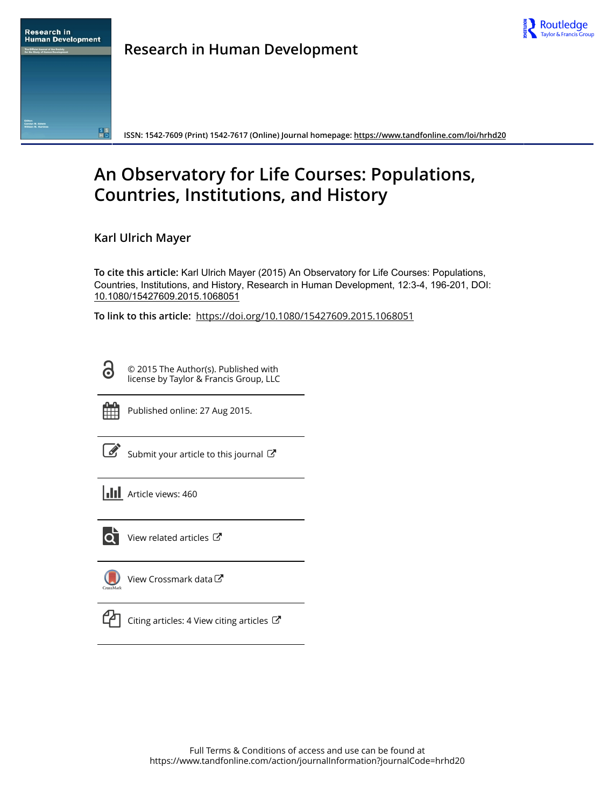

| Research in<br><b>Human Development</b>                                   |
|---------------------------------------------------------------------------|
| The Official Journal of the Society<br>for the Study of Human Development |
|                                                                           |

 $rac{5}{10}$ 

Editors<br>Carolyn M. Aldwir<br>William M. Kartir

**Research in Human Development**

**ISSN: 1542-7609 (Print) 1542-7617 (Online) Journal homepage:<https://www.tandfonline.com/loi/hrhd20>**

# **An Observatory for Life Courses: Populations, Countries, Institutions, and History**

**Karl Ulrich Mayer**

**To cite this article:** Karl Ulrich Mayer (2015) An Observatory for Life Courses: Populations, Countries, Institutions, and History, Research in Human Development, 12:3-4, 196-201, DOI: [10.1080/15427609.2015.1068051](https://www.tandfonline.com/action/showCitFormats?doi=10.1080/15427609.2015.1068051)

**To link to this article:** <https://doi.org/10.1080/15427609.2015.1068051>

© 2015 The Author(s). Published with license by Taylor & Francis Group, LLC



ര

Published online: 27 Aug 2015.

[Submit your article to this journal](https://www.tandfonline.com/action/authorSubmission?journalCode=hrhd20&show=instructions)  $\mathbb{Z}$ 

**III** Article views: 460



 $\overline{Q}$  [View related articles](https://www.tandfonline.com/doi/mlt/10.1080/15427609.2015.1068051)  $\overline{C}$ 

[View Crossmark data](http://crossmark.crossref.org/dialog/?doi=10.1080/15427609.2015.1068051&domain=pdf&date_stamp=2015-08-27)<sup>C</sup>



 $\Box$  [Citing articles: 4 View citing articles](https://www.tandfonline.com/doi/citedby/10.1080/15427609.2015.1068051#tabModule)  $\Box$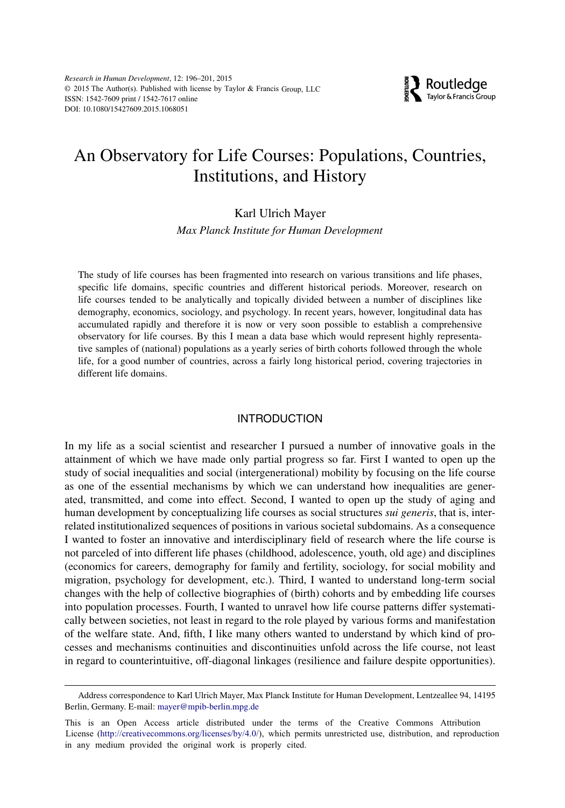

# An Observatory for Life Courses: Populations, Countries, Institutions, and History

# Karl Ulrich Mayer

*Max Planck Institute for Human Development*

The study of life courses has been fragmented into research on various transitions and life phases, specific life domains, specific countries and different historical periods. Moreover, research on life courses tended to be analytically and topically divided between a number of disciplines like demography, economics, sociology, and psychology. In recent years, however, longitudinal data has accumulated rapidly and therefore it is now or very soon possible to establish a comprehensive observatory for life courses. By this I mean a data base which would represent highly representative samples of (national) populations as a yearly series of birth cohorts followed through the whole life, for a good number of countries, across a fairly long historical period, covering trajectories in different life domains.

#### INTRODUCTION

In my life as a social scientist and researcher I pursued a number of innovative goals in the attainment of which we have made only partial progress so far. First I wanted to open up the study of social inequalities and social (intergenerational) mobility by focusing on the life course as one of the essential mechanisms by which we can understand how inequalities are generated, transmitted, and come into effect. Second, I wanted to open up the study of aging and human development by conceptualizing life courses as social structures *sui generis*, that is, interrelated institutionalized sequences of positions in various societal subdomains. As a consequence I wanted to foster an innovative and interdisciplinary field of research where the life course is not parceled of into different life phases (childhood, adolescence, youth, old age) and disciplines (economics for careers, demography for family and fertility, sociology, for social mobility and migration, psychology for development, etc.). Third, I wanted to understand long-term social changes with the help of collective biographies of (birth) cohorts and by embedding life courses into population processes. Fourth, I wanted to unravel how life course patterns differ systematically between societies, not least in regard to the role played by various forms and manifestation of the welfare state. And, fifth, I like many others wanted to understand by which kind of processes and mechanisms continuities and discontinuities unfold across the life course, not least in regard to counterintuitive, off-diagonal linkages (resilience and failure despite opportunities).

Address correspondence to Karl Ulrich Mayer, Max Planck Institute for Human Development, Lentzeallee 94, 14195 Berlin, Germany. E-mail: [mayer@mpib-berlin.mpg.de](mailto:mayer@mpib-berlin.mpg.de)

This is an Open Access article distributed under the terms of the Creative Commons Attribution License (http://creativecommons.org/licenses/by/4.0/), which permits unrestricted use, distribution, and reproduction in any medium provided the original work is properly cited.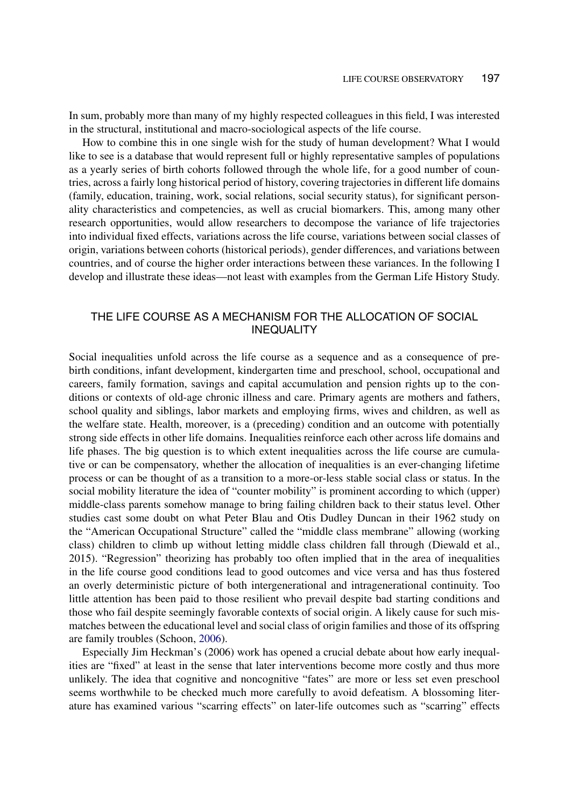In sum, probably more than many of my highly respected colleagues in this field, I was interested in the structural, institutional and macro-sociological aspects of the life course.

How to combine this in one single wish for the study of human development? What I would like to see is a database that would represent full or highly representative samples of populations as a yearly series of birth cohorts followed through the whole life, for a good number of countries, across a fairly long historical period of history, covering trajectories in different life domains (family, education, training, work, social relations, social security status), for significant personality characteristics and competencies, as well as crucial biomarkers. This, among many other research opportunities, would allow researchers to decompose the variance of life trajectories into individual fixed effects, variations across the life course, variations between social classes of origin, variations between cohorts (historical periods), gender differences, and variations between countries, and of course the higher order interactions between these variances. In the following I develop and illustrate these ideas—not least with examples from the German Life History Study.

# THE LIFE COURSE AS A MECHANISM FOR THE ALLOCATION OF SOCIAL INEQUALITY

Social inequalities unfold across the life course as a sequence and as a consequence of prebirth conditions, infant development, kindergarten time and preschool, school, occupational and careers, family formation, savings and capital accumulation and pension rights up to the conditions or contexts of old-age chronic illness and care. Primary agents are mothers and fathers, school quality and siblings, labor markets and employing firms, wives and children, as well as the welfare state. Health, moreover, is a (preceding) condition and an outcome with potentially strong side effects in other life domains. Inequalities reinforce each other across life domains and life phases. The big question is to which extent inequalities across the life course are cumulative or can be compensatory, whether the allocation of inequalities is an ever-changing lifetime process or can be thought of as a transition to a more-or-less stable social class or status. In the social mobility literature the idea of "counter mobility" is prominent according to which (upper) middle-class parents somehow manage to bring failing children back to their status level. Other studies cast some doubt on what Peter Blau and Otis Dudley Duncan in their 1962 study on the "American Occupational Structure" called the "middle class membrane" allowing (working class) children to climb up without letting middle class children fall through (Diewald et al., 2015). "Regression" theorizing has probably too often implied that in the area of inequalities in the life course good conditions lead to good outcomes and vice versa and has thus fostered an overly deterministic picture of both intergenerational and intragenerational continuity. Too little attention has been paid to those resilient who prevail despite bad starting conditions and those who fail despite seemingly favorable contexts of social origin. A likely cause for such mismatches between the educational level and social class of origin families and those of its offspring are family troubles (Schoon, [2006\)](#page-6-0).

Especially Jim Heckman's (2006) work has opened a crucial debate about how early inequalities are "fixed" at least in the sense that later interventions become more costly and thus more unlikely. The idea that cognitive and noncognitive "fates" are more or less set even preschool seems worthwhile to be checked much more carefully to avoid defeatism. A blossoming literature has examined various "scarring effects" on later-life outcomes such as "scarring" effects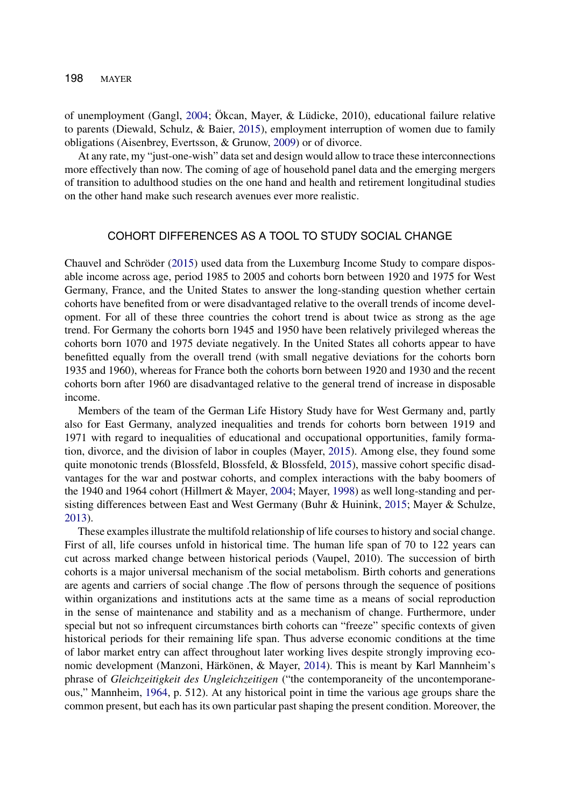of unemployment (Gangl, [2004;](#page-6-1) Ökcan, Mayer, & Lüdicke, 2010), educational failure relative to parents (Diewald, Schulz, & Baier, [2015\)](#page-5-0), employment interruption of women due to family obligations (Aisenbrey, Evertsson, & Grunow, [2009\)](#page-5-1) or of divorce.

At any rate, my "just-one-wish" data set and design would allow to trace these interconnections more effectively than now. The coming of age of household panel data and the emerging mergers of transition to adulthood studies on the one hand and health and retirement longitudinal studies on the other hand make such research avenues ever more realistic.

## COHORT DIFFERENCES AS A TOOL TO STUDY SOCIAL CHANGE

Chauvel and Schröder [\(2015\)](#page-5-2) used data from the Luxemburg Income Study to compare disposable income across age, period 1985 to 2005 and cohorts born between 1920 and 1975 for West Germany, France, and the United States to answer the long-standing question whether certain cohorts have benefited from or were disadvantaged relative to the overall trends of income development. For all of these three countries the cohort trend is about twice as strong as the age trend. For Germany the cohorts born 1945 and 1950 have been relatively privileged whereas the cohorts born 1070 and 1975 deviate negatively. In the United States all cohorts appear to have benefitted equally from the overall trend (with small negative deviations for the cohorts born 1935 and 1960), whereas for France both the cohorts born between 1920 and 1930 and the recent cohorts born after 1960 are disadvantaged relative to the general trend of increase in disposable income.

Members of the team of the German Life History Study have for West Germany and, partly also for East Germany, analyzed inequalities and trends for cohorts born between 1919 and 1971 with regard to inequalities of educational and occupational opportunities, family formation, divorce, and the division of labor in couples (Mayer, [2015\)](#page-6-2). Among else, they found some quite monotonic trends (Blossfeld, Blossfeld, & Blossfeld, [2015\)](#page-5-3), massive cohort specific disadvantages for the war and postwar cohorts, and complex interactions with the baby boomers of the 1940 and 1964 cohort (Hillmert & Mayer, [2004;](#page-6-3) Mayer, [1998\)](#page-6-2) as well long-standing and persisting differences between East and West Germany (Buhr & Huinink, [2015;](#page-5-4) Mayer & Schulze, [2013\)](#page-6-4).

These examples illustrate the multifold relationship of life courses to history and social change. First of all, life courses unfold in historical time. The human life span of 70 to 122 years can cut across marked change between historical periods (Vaupel, 2010). The succession of birth cohorts is a major universal mechanism of the social metabolism. Birth cohorts and generations are agents and carriers of social change .The flow of persons through the sequence of positions within organizations and institutions acts at the same time as a means of social reproduction in the sense of maintenance and stability and as a mechanism of change. Furthermore, under special but not so infrequent circumstances birth cohorts can "freeze" specific contexts of given historical periods for their remaining life span. Thus adverse economic conditions at the time of labor market entry can affect throughout later working lives despite strongly improving economic development (Manzoni, Härkönen, & Mayer, [2014\)](#page-6-5). This is meant by Karl Mannheim's phrase of *Gleichzeitigkeit des Ungleichzeitigen* ("the contemporaneity of the uncontemporaneous," Mannheim, [1964,](#page-6-6) p. 512). At any historical point in time the various age groups share the common present, but each has its own particular past shaping the present condition. Moreover, the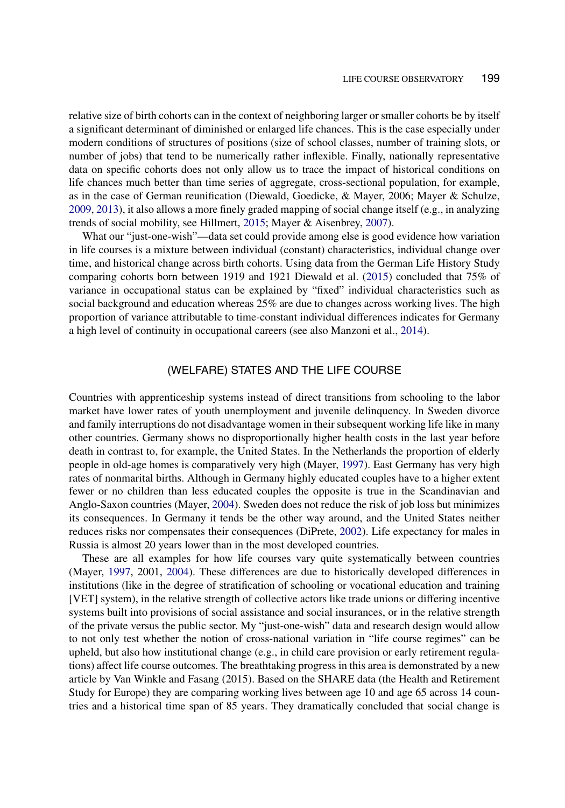relative size of birth cohorts can in the context of neighboring larger or smaller cohorts be by itself a significant determinant of diminished or enlarged life chances. This is the case especially under modern conditions of structures of positions (size of school classes, number of training slots, or number of jobs) that tend to be numerically rather inflexible. Finally, nationally representative data on specific cohorts does not only allow us to trace the impact of historical conditions on life chances much better than time series of aggregate, cross-sectional population, for example, as in the case of German reunification (Diewald, Goedicke, & Mayer, 2006; Mayer & Schulze, [2009,](#page-6-7) [2013\)](#page-6-4), it also allows a more finely graded mapping of social change itself (e.g., in analyzing trends of social mobility, see Hillmert, [2015;](#page-6-8) Mayer & Aisenbrey, [2007\)](#page-6-9).

What our "just-one-wish"—data set could provide among else is good evidence how variation in life courses is a mixture between individual (constant) characteristics, individual change over time, and historical change across birth cohorts. Using data from the German Life History Study comparing cohorts born between 1919 and 1921 Diewald et al. [\(2015\)](#page-5-0) concluded that 75% of variance in occupational status can be explained by "fixed" individual characteristics such as social background and education whereas 25% are due to changes across working lives. The high proportion of variance attributable to time-constant individual differences indicates for Germany a high level of continuity in occupational careers (see also Manzoni et al., [2014\)](#page-6-5).

#### (WELFARE) STATES AND THE LIFE COURSE

Countries with apprenticeship systems instead of direct transitions from schooling to the labor market have lower rates of youth unemployment and juvenile delinquency. In Sweden divorce and family interruptions do not disadvantage women in their subsequent working life like in many other countries. Germany shows no disproportionally higher health costs in the last year before death in contrast to, for example, the United States. In the Netherlands the proportion of elderly people in old-age homes is comparatively very high (Mayer, [1997\)](#page-6-10). East Germany has very high rates of nonmarital births. Although in Germany highly educated couples have to a higher extent fewer or no children than less educated couples the opposite is true in the Scandinavian and Anglo-Saxon countries (Mayer, [2004\)](#page-6-11). Sweden does not reduce the risk of job loss but minimizes its consequences. In Germany it tends be the other way around, and the United States neither reduces risks nor compensates their consequences (DiPrete, [2002\)](#page-5-5). Life expectancy for males in Russia is almost 20 years lower than in the most developed countries.

These are all examples for how life courses vary quite systematically between countries (Mayer, [1997,](#page-6-10) 2001, [2004\)](#page-6-11). These differences are due to historically developed differences in institutions (like in the degree of stratification of schooling or vocational education and training [VET] system), in the relative strength of collective actors like trade unions or differing incentive systems built into provisions of social assistance and social insurances, or in the relative strength of the private versus the public sector. My "just-one-wish" data and research design would allow to not only test whether the notion of cross-national variation in "life course regimes" can be upheld, but also how institutional change (e.g., in child care provision or early retirement regulations) affect life course outcomes. The breathtaking progress in this area is demonstrated by a new article by Van Winkle and Fasang (2015). Based on the SHARE data (the Health and Retirement Study for Europe) they are comparing working lives between age 10 and age 65 across 14 countries and a historical time span of 85 years. They dramatically concluded that social change is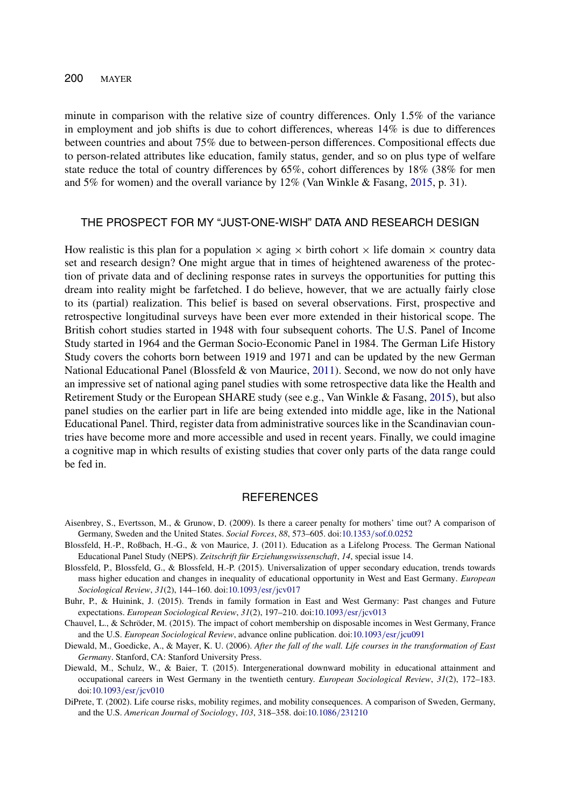#### 200 MAYER

minute in comparison with the relative size of country differences. Only 1.5% of the variance in employment and job shifts is due to cohort differences, whereas 14% is due to differences between countries and about 75% due to between-person differences. Compositional effects due to person-related attributes like education, family status, gender, and so on plus type of welfare state reduce the total of country differences by 65%, cohort differences by 18% (38% for men and 5% for women) and the overall variance by 12% (Van Winkle & Fasang, [2015,](#page-6-12) p. 31).

#### THE PROSPECT FOR MY "JUST-ONE-WISH" DATA AND RESEARCH DESIGN

How realistic is this plan for a population  $\times$  aging  $\times$  birth cohort  $\times$  life domain  $\times$  country data set and research design? One might argue that in times of heightened awareness of the protection of private data and of declining response rates in surveys the opportunities for putting this dream into reality might be farfetched. I do believe, however, that we are actually fairly close to its (partial) realization. This belief is based on several observations. First, prospective and retrospective longitudinal surveys have been ever more extended in their historical scope. The British cohort studies started in 1948 with four subsequent cohorts. The U.S. Panel of Income Study started in 1964 and the German Socio-Economic Panel in 1984. The German Life History Study covers the cohorts born between 1919 and 1971 and can be updated by the new German National Educational Panel (Blossfeld & von Maurice, [2011\)](#page-5-6). Second, we now do not only have an impressive set of national aging panel studies with some retrospective data like the Health and Retirement Study or the European SHARE study (see e.g., Van Winkle & Fasang, [2015\)](#page-6-12), but also panel studies on the earlier part in life are being extended into middle age, like in the National Educational Panel. Third, register data from administrative sources like in the Scandinavian countries have become more and more accessible and used in recent years. Finally, we could imagine a cognitive map in which results of existing studies that cover only parts of the data range could be fed in.

### **REFERENCES**

- <span id="page-5-1"></span>Aisenbrey, S., Evertsson, M., & Grunow, D. (2009). Is there a career penalty for mothers' time out? A comparison of Germany, Sweden and the United States. *Social Forces*, *88*, 573–605. doi:10.1353*/*[sof.0.0252](http://dx.doi.org/10.1353\gdef yes{no}$/$\gdef \ {$/$}\gdef no{no}\gdef yes{yes}\gdef \ \gdef \ {\ }\gdef no{no}\gdef yes{yes}{$/$\gdef \ {$/$}\gdef no{no}\gdef yes{yes}}sof.0.0252)
- <span id="page-5-6"></span>Blossfeld, H.-P., Roßbach, H.-G., & von Maurice, J. (2011). Education as a Lifelong Process. The German National Educational Panel Study (NEPS). *Zeitschrift für Erziehungswissenschaft*, *14*, special issue 14.
- <span id="page-5-3"></span>Blossfeld, P., Blossfeld, G., & Blossfeld, H.-P. (2015). Universalization of upper secondary education, trends towards mass higher education and changes in inequality of educational opportunity in West and East Germany. *European Sociological Review*, *31*(2), 144–160. doi[:10.1093](http://dx.doi.org/10.1093\gdef yes{no}$/$\gdef \ {$/$}\gdef no{no}\gdef yes{yes}\gdef \ \gdef \ {\ }\gdef no{no}\gdef yes{yes}{$/$\gdef \ {$/$}\gdef no{no}\gdef yes{yes}}esr\gdef yes{no}$/$\gdef \ {$/$}\gdef no{no}\gdef yes{yes}\gdef \ \gdef \ {\ }\gdef no{no}\gdef yes{yes}{$/$\gdef \ {$/$}\gdef no{no}\gdef yes{yes}}jcv017)*/*esr*/*jcv017
- <span id="page-5-4"></span>Buhr, P., & Huinink, J. (2015). Trends in family formation in East and West Germany: Past changes and Future expectations. *European Sociological Review*, *31*(2), 197–210. doi[:10.1093](http://dx.doi.org/10.1093\gdef yes{no}$/$\gdef \ {$/$}\gdef no{no}\gdef yes{yes}\gdef \ \gdef \ {\ }\gdef no{no}\gdef yes{yes}{$/$\gdef \ {$/$}\gdef no{no}\gdef yes{yes}}esr\gdef yes{no}$/$\gdef \ {$/$}\gdef no{no}\gdef yes{yes}\gdef \ \gdef \ {\ }\gdef no{no}\gdef yes{yes}{$/$\gdef \ {$/$}\gdef no{no}\gdef yes{yes}}jcv013)*/*esr*/*jcv013
- <span id="page-5-2"></span>Chauvel, L., & Schröder, M. (2015). The impact of cohort membership on disposable incomes in West Germany, France and the U.S. *European Sociological Review*, advance online publication. doi[:10.1093](http://dx.doi.org/10.1093\gdef yes{no}$/$\gdef \ {$/$}\gdef no{no}\gdef yes{yes}\gdef \ \gdef \ {\ }\gdef no{no}\gdef yes{yes}{$/$\gdef \ {$/$}\gdef no{no}\gdef yes{yes}}esr\gdef yes{no}$/$\gdef \ {$/$}\gdef no{no}\gdef yes{yes}\gdef \ \gdef \ {\ }\gdef no{no}\gdef yes{yes}{$/$\gdef \ {$/$}\gdef no{no}\gdef yes{yes}}jcu091)*/*esr*/*jcu091
- Diewald, M., Goedicke, A., & Mayer, K. U. (2006). *After the fall of the wall. Life courses in the transformation of East Germany*. Stanford, CA: Stanford University Press.
- <span id="page-5-0"></span>Diewald, M., Schulz, W., & Baier, T. (2015). Intergenerational downward mobility in educational attainment and occupational careers in West Germany in the twentieth century. *European Sociological Review*, *31*(2), 172–183. doi[:10.1093](http://dx.doi.org/10.1093\gdef yes{no}$/$\gdef \ {$/$}\gdef no{no}\gdef yes{yes}\gdef \ \gdef \ {\ }\gdef no{no}\gdef yes{yes}{$/$\gdef \ {$/$}\gdef no{no}\gdef yes{yes}}esr\gdef yes{no}$/$\gdef \ {$/$}\gdef no{no}\gdef yes{yes}\gdef \ \gdef \ {\ }\gdef no{no}\gdef yes{yes}{$/$\gdef \ {$/$}\gdef no{no}\gdef yes{yes}}jcv010)*/*esr*/*jcv010
- <span id="page-5-5"></span>DiPrete, T. (2002). Life course risks, mobility regimes, and mobility consequences. A comparison of Sweden, Germany, and the U.S. *American Journal of Sociology*, *103*, 318–358. doi[:10.1086](http://dx.doi.org/10.1086\gdef yes{no}$/$\gdef \ {$/$}\gdef no{no}\gdef yes{yes}\gdef \ \gdef \ {\ }\gdef no{no}\gdef yes{yes}{$/$\gdef \ {$/$}\gdef no{no}\gdef yes{yes}}231210)*/*[231210](http://dx.doi.org/10.1086/231210)